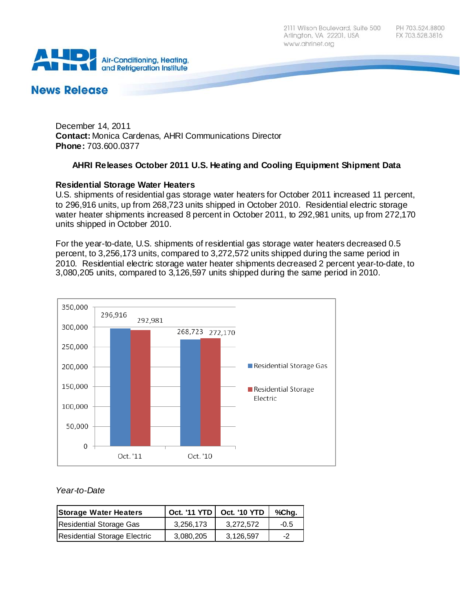2111 Wilson Boulevard, Suite 500 Arlington, VA 22201, USA www.ahrinet.org



# **News Release**

December 14, 2011 **Contact:** Monica Cardenas, AHRI Communications Director **Phone:** 703.600.0377

# **AHRI Releases October 2011 U.S. Heating and Cooling Equipment Shipment Data**

### **Residential Storage Water Heaters**

U.S. shipments of residential gas storage water heaters for October 2011 increased 11 percent, to 296,916 units, up from 268,723 units shipped in October 2010. Residential electric storage water heater shipments increased 8 percent in October 2011, to 292,981 units, up from 272,170 units shipped in October 2010.

For the year-to-date, U.S. shipments of residential gas storage water heaters decreased 0.5 percent, to 3,256,173 units, compared to 3,272,572 units shipped during the same period in 2010. Residential electric storage water heater shipments decreased 2 percent year-to-date, to 3,080,205 units, compared to 3,126,597 units shipped during the same period in 2010.



#### *Year-to-Date*

| <b>Storage Water Heaters</b> |           | Oct. '11 YTD   Oct. '10 YTD | %Chg.        |
|------------------------------|-----------|-----------------------------|--------------|
| Residential Storage Gas      | 3.256.173 | 3.272.572                   | $-0.5$       |
| Residential Storage Electric | 3,080,205 | 3,126,597                   | $-2^{\circ}$ |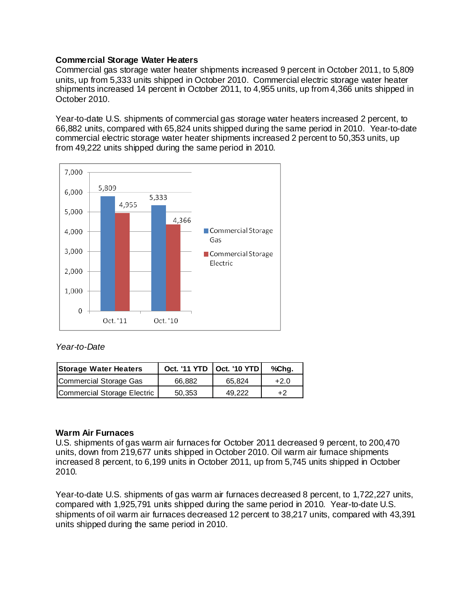### **Commercial Storage Water Heaters**

Commercial gas storage water heater shipments increased 9 percent in October 2011, to 5,809 units, up from 5,333 units shipped in October 2010. Commercial electric storage water heater shipments increased 14 percent in October 2011, to 4,955 units, up from 4,366 units shipped in October 2010.

Year-to-date U.S. shipments of commercial gas storage water heaters increased 2 percent, to 66,882 units, compared with 65,824 units shipped during the same period in 2010. Year-to-date commercial electric storage water heater shipments increased 2 percent to 50,353 units, up from 49,222 units shipped during the same period in 2010.



#### *Year-to-Date*

| <b>Storage Water Heaters</b> | Oct. '11 YTD   Oct. '10 YTD |        | %Chg.  |
|------------------------------|-----------------------------|--------|--------|
| Commercial Storage Gas       | 66.882                      | 65.824 | $+2.0$ |
| Commercial Storage Electric  | 50.353                      | 49.222 | +2     |

# **Warm Air Furnaces**

U.S. shipments of gas warm air furnaces for October 2011 decreased 9 percent, to 200,470 units, down from 219,677 units shipped in October 2010. Oil warm air furnace shipments increased 8 percent, to 6,199 units in October 2011, up from 5,745 units shipped in October 2010.

Year-to-date U.S. shipments of gas warm air furnaces decreased 8 percent, to 1,722,227 units, compared with 1,925,791 units shipped during the same period in 2010. Year-to-date U.S. shipments of oil warm air furnaces decreased 12 percent to 38,217 units, compared with 43,391 units shipped during the same period in 2010.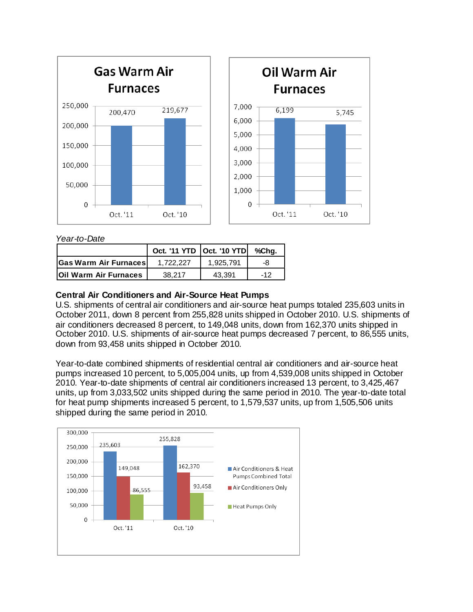

*Year-to-Date*

|                              | Oct. '11 YTD   Oct. '10 YTD |           | %Cha. |
|------------------------------|-----------------------------|-----------|-------|
| <b>Gas Warm Air Furnaces</b> | 1.722.227                   | 1.925.791 | -8    |
| <b>Oil Warm Air Furnaces</b> | 38.217                      | 43.391    | $-12$ |

# **Central Air Conditioners and Air-Source Heat Pumps**

U.S. shipments of central air conditioners and air-source heat pumps totaled 235,603 units in October 2011, down 8 percent from 255,828 units shipped in October 2010. U.S. shipments of air conditioners decreased 8 percent, to 149,048 units, down from 162,370 units shipped in October 2010. U.S. shipments of air-source heat pumps decreased 7 percent, to 86,555 units, down from 93,458 units shipped in October 2010.

Year-to-date combined shipments of residential central air conditioners and air-source heat pumps increased 10 percent, to 5,005,004 units, up from 4,539,008 units shipped in October 2010. Year-to-date shipments of central air conditioners increased 13 percent, to 3,425,467 units, up from 3,033,502 units shipped during the same period in 2010. The year-to-date total for heat pump shipments increased 5 percent, to 1,579,537 units, up from 1,505,506 units shipped during the same period in 2010.